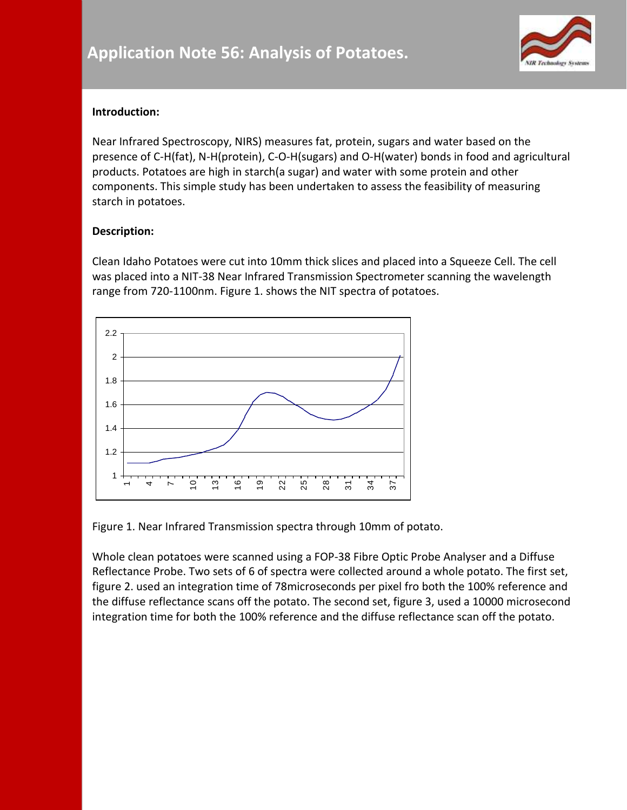

## **Introduction:**

Near Infrared Spectroscopy, NIRS) measures fat, protein, sugars and water based on the presence of C-H(fat), N-H(protein), C-O-H(sugars) and O-H(water) bonds in food and agricultural products. Potatoes are high in starch(a sugar) and water with some protein and other components. This simple study has been undertaken to assess the feasibility of measuring starch in potatoes.

## **Description:**

Clean Idaho Potatoes were cut into 10mm thick slices and placed into a Squeeze Cell. The cell was placed into a NIT-38 Near Infrared Transmission Spectrometer scanning the wavelength range from 720-1100nm. Figure 1. shows the NIT spectra of potatoes.



Figure 1. Near Infrared Transmission spectra through 10mm of potato.

Whole clean potatoes were scanned using a FOP-38 Fibre Optic Probe Analyser and a Diffuse Reflectance Probe. Two sets of 6 of spectra were collected around a whole potato. The first set, figure 2. used an integration time of 78microseconds per pixel fro both the 100% reference and the diffuse reflectance scans off the potato. The second set, figure 3, used a 10000 microsecond integration time for both the 100% reference and the diffuse reflectance scan off the potato.